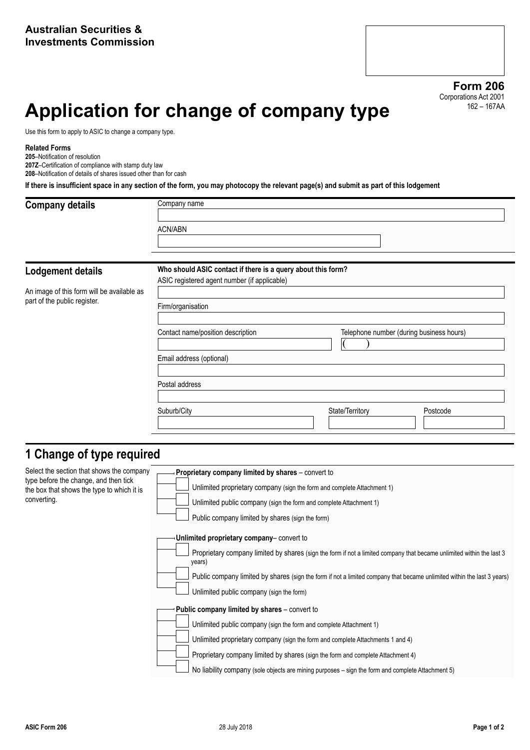# **Application for change of company type**

Use this form to apply to ASIC to change a company type.

#### **Related Forms**

**205**–Notification of resolution

**Lodgement details**

**207Z**–Certification of compliance with stamp duty law

**208**–Notification of details of shares issued other than for cash

**If there is insufficient space in any section of the form, you may photocopy the relevant page(s) and submit as part of this lodgement**

### **Company details** Company name

| ACN/ABN                                                      |  |
|--------------------------------------------------------------|--|
|                                                              |  |
|                                                              |  |
| Who should ASIC contact if there is a query about this form? |  |
| ASIC registered agent number (if annlicable)                 |  |

An image of this form will be available as part of the public register.

| Firm/organisation                 |                                          |
|-----------------------------------|------------------------------------------|
| Contact name/position description | Telephone number (during business hours) |
| Email address (optional)          |                                          |
| Postal address                    |                                          |
| Suburb/City                       | Postcode<br>State/Territory              |

### **1 Change of type required**

Select the section that shows the company type before the change, and then tick the box that shows the type to which it is converting.

| Proprietary company limited by shares - convert to                                                                              |
|---------------------------------------------------------------------------------------------------------------------------------|
| Unlimited proprietary company (sign the form and complete Attachment 1)                                                         |
| Unlimited public company (sign the form and complete Attachment 1)                                                              |
| Public company limited by shares (sign the form)                                                                                |
| Unlimited proprietary company-convert to                                                                                        |
| Proprietary company limited by shares (sign the form if not a limited company that became unlimited within the last 3<br>years) |
| Public company limited by shares (sign the form if not a limited company that became unlimited within the last 3 years)         |
| Unlimited public company (sign the form)                                                                                        |
| Public company limited by shares – convert to                                                                                   |
| Unlimited public company (sign the form and complete Attachment 1)                                                              |
| Unlimited proprietary company (sign the form and complete Attachments 1 and 4)                                                  |
| Proprietary company limited by shares (sign the form and complete Attachment 4)                                                 |
| No liability company (sole objects are mining purposes – sign the form and complete Attachment 5)                               |
|                                                                                                                                 |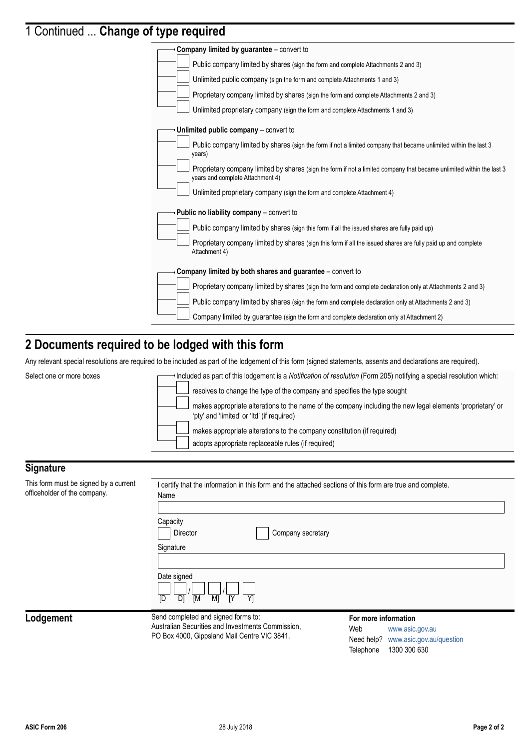# 1 Continued ... **Change of type required**

| . <u>.</u>                                                                                                                                                |
|-----------------------------------------------------------------------------------------------------------------------------------------------------------|
| <b>Company limited by guarantee</b> – convert to                                                                                                          |
| Public company limited by shares (sign the form and complete Attachments 2 and 3)                                                                         |
| Unlimited public company (sign the form and complete Attachments 1 and 3)                                                                                 |
| Proprietary company limited by shares (sign the form and complete Attachments 2 and 3)                                                                    |
| Unlimited proprietary company (sign the form and complete Attachments 1 and 3)                                                                            |
| Unlimited public company – convert to                                                                                                                     |
| Public company limited by shares (sign the form if not a limited company that became unlimited within the last 3<br>years)                                |
| Proprietary company limited by shares (sign the form if not a limited company that became unlimited within the last 3<br>years and complete Attachment 4) |
| Unlimited proprietary company (sign the form and complete Attachment 4)                                                                                   |
| <b>Public no liability company</b> – convert to                                                                                                           |
| Public company limited by shares (sign this form if all the issued shares are fully paid up)                                                              |
| Proprietary company limited by shares (sign this form if all the issued shares are fully paid up and complete<br>Attachment 4)                            |
| Company limited by both shares and guarantee – convert to                                                                                                 |
| Proprietary company limited by shares (sign the form and complete declaration only at Attachments 2 and 3)                                                |
| Public company limited by shares (sign the form and complete declaration only at Attachments 2 and 3)                                                     |
| Company limited by guarantee (sign the form and complete declaration only at Attachment 2)                                                                |
|                                                                                                                                                           |

### **2 Documents required to be lodged with this form**

Any relevant special resolutions are required to be included as part of the lodgement of this form (signed statements, assents and declarations are required).



#### **Signature**

This form must be officeholder of the

| signed by a current<br>company. | I certify that the information in this form and the attached sections of this form are true and complete.<br>Name<br>Capacity<br>Director<br>Company secretary<br>Signature<br>Date signed |                                                               |
|---------------------------------|--------------------------------------------------------------------------------------------------------------------------------------------------------------------------------------------|---------------------------------------------------------------|
|                                 | D1<br>IY<br>Y1<br>[M<br>M1<br><b>ID</b><br>Send completed and signed forms to:                                                                                                             | For more information                                          |
|                                 | Australian Securities and Investments Commission,<br>PO Box 4000, Gippsland Mail Centre VIC 3841.                                                                                          | Web<br>www.asic.gov.au<br>Need help? www.asic.gov.au/guestion |

Lodgement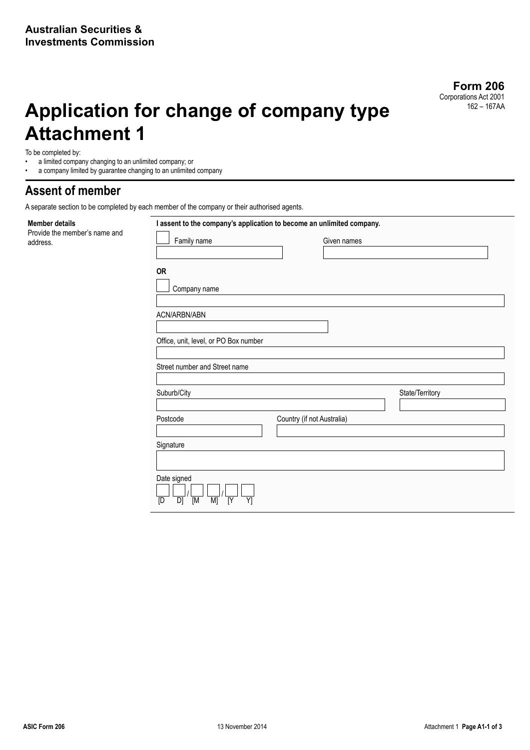# **Application for change of company type Attachment 1**

To be completed by:

**Member details**

address.

- a limited company changing to an unlimited company; or<br>• a company limited by quarantee changing to an unlimited
- a company limited by guarantee changing to an unlimited company

### **Assent of member**

Provide the member's name and

A separate section to be completed by each member of the company or their authorised agents.

| Family name                           | Given names                |                 |
|---------------------------------------|----------------------------|-----------------|
|                                       |                            |                 |
| <b>OR</b>                             |                            |                 |
|                                       |                            |                 |
| Company name                          |                            |                 |
|                                       |                            |                 |
| ACN/ARBN/ABN                          |                            |                 |
|                                       |                            |                 |
| Office, unit, level, or PO Box number |                            |                 |
|                                       |                            |                 |
| Street number and Street name         |                            |                 |
|                                       |                            |                 |
|                                       |                            |                 |
|                                       |                            |                 |
|                                       |                            | State/Territory |
|                                       |                            |                 |
|                                       | Country (if not Australia) |                 |
|                                       |                            |                 |
| Suburb/City<br>Postcode<br>Signature  |                            |                 |
|                                       |                            |                 |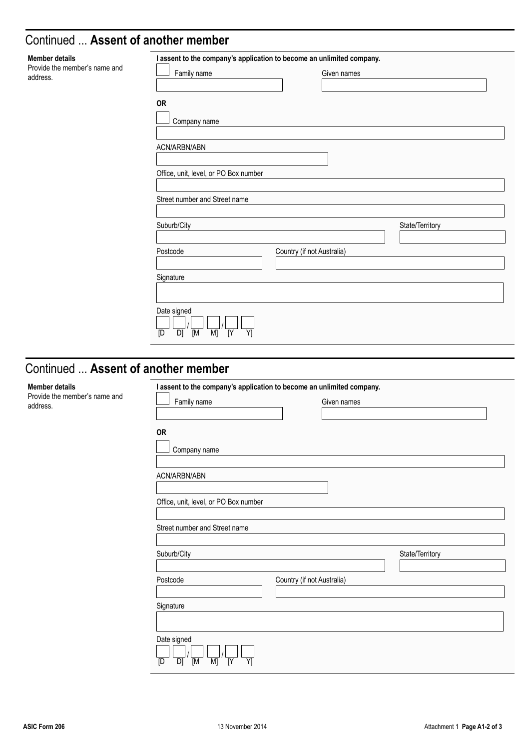### Continued ... **Assent of another member**

| <b>Member details</b>                     | I assent to the company's application to become an unlimited company.              |                            |                 |
|-------------------------------------------|------------------------------------------------------------------------------------|----------------------------|-----------------|
| Provide the member's name and<br>address. | Family name                                                                        | Given names                |                 |
|                                           | OR<br>Company name                                                                 |                            |                 |
|                                           | ACN/ARBN/ABN                                                                       |                            |                 |
|                                           | Office, unit, level, or PO Box number                                              |                            |                 |
|                                           | Street number and Street name                                                      |                            |                 |
|                                           | Suburb/City                                                                        |                            | State/Territory |
|                                           | Postcode                                                                           | Country (if not Australia) |                 |
|                                           | Signature                                                                          |                            |                 |
|                                           | Date signed<br>$\overline{Y}$<br>$\overline{M}$<br>M<br>$\overline{N}$<br>D]<br>[D |                            |                 |

## Continued ... **Assent of another member**

#### **Member details**

Provide the member's name and address.

| Family name                                              | Given names                |                 |
|----------------------------------------------------------|----------------------------|-----------------|
| <b>OR</b><br>Company name                                |                            |                 |
| ACN/ARBN/ABN                                             |                            |                 |
| Office, unit, level, or PO Box number                    |                            |                 |
|                                                          |                            |                 |
|                                                          |                            |                 |
|                                                          |                            |                 |
|                                                          |                            | State/Territory |
| Street number and Street name<br>Suburb/City<br>Postcode | Country (if not Australia) |                 |
| Signature                                                |                            |                 |
| Date signed                                              |                            |                 |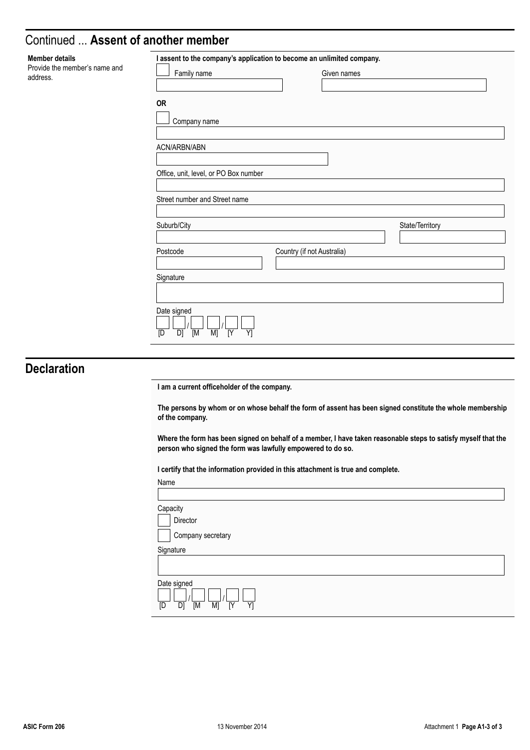### Continued ... **Assent of another member**

| Family name                           | Given names                |
|---------------------------------------|----------------------------|
| OR                                    |                            |
| Company name                          |                            |
| ACN/ARBN/ABN                          |                            |
| Office, unit, level, or PO Box number |                            |
| Street number and Street name         |                            |
| Suburb/City                           | State/Territory            |
| Postcode                              | Country (if not Australia) |
| Signature                             |                            |
|                                       |                            |
| Date signed                           |                            |

### **Declaration**

**Member details** Provide the member's

address.

**I am a current officeholder of the company.**

**The persons by whom or on whose behalf the form of assent has been signed constitute the whole membership of the company.**

**Where the form has been signed on behalf of a member, I have taken reasonable steps to satisfy myself that the person who signed the form was lawfully empowered to do so.**

**I certify that the information provided in this attachment is true and complete.**

| Name                    |                                                                  |
|-------------------------|------------------------------------------------------------------|
|                         |                                                                  |
| Capacity                |                                                                  |
|                         | Director                                                         |
|                         | Company secretary                                                |
|                         | Signature                                                        |
|                         |                                                                  |
| $\overline{\mathbb{D}}$ | Date signed<br>$\overline{D}$<br>$\overline{M}$<br>M<br>IY<br>Y1 |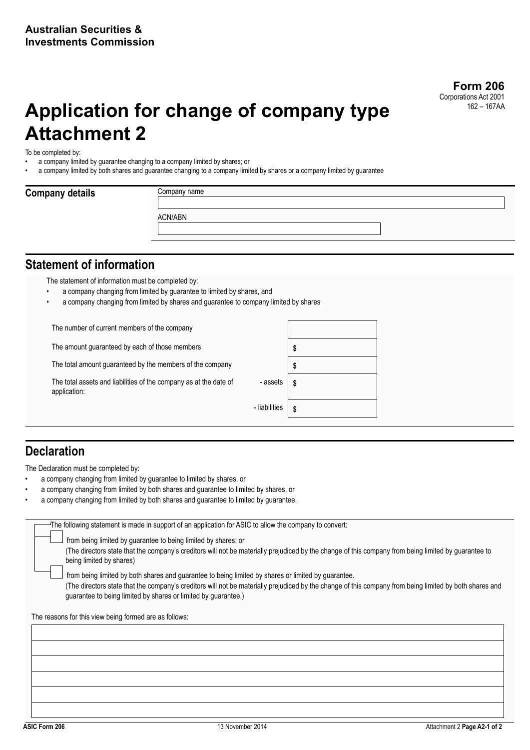# **Application for change of company type Attachment 2**

To be completed by:

**Company details** 

- a company limited by guarantee changing to a company limited by shares; or
- a company limited by both shares and guarantee changing to a company limited by shares or a company limited by guarantee

| Company name |  |  |
|--------------|--|--|
|              |  |  |
| ACN/ABN      |  |  |
|              |  |  |
|              |  |  |

### **Statement of information**

The statement of information must be completed by:

- a company changing from limited by guarantee to limited by shares, and
- a company changing from limited by shares and guarantee to company limited by shares

The number of current members of the company

The amount guaranteed by each of those members **\$** 

The total amount guaranteed by the members of the company **\$** 

The total assets and liabilities of the company as at the date of application:



## **Declaration**

The Declaration must be completed by:

- a company changing from limited by guarantee to limited by shares, or
- a company changing from limited by both shares and guarantee to limited by shares, or
- a company changing from limited by both shares and guarantee to limited by quarantee.

|  |  |  | The following statement is made in support of an application for ASIC to allow the company to convert: |
|--|--|--|--------------------------------------------------------------------------------------------------------|
|  |  |  |                                                                                                        |

from being limited by guarantee to being limited by shares; or

(The directors state that the company's creditors will not be materially prejudiced by the change of this company from being limited by guarantee to being limited by shares)

 from being limited by both shares and guarantee to being limited by shares or limited by guarantee. (The directors state that the company's creditors will not be materially prejudiced by the change of this company from being limited by both shares and guarantee to being limited by shares or limited by guarantee.)

The reasons for this view being formed are as follows: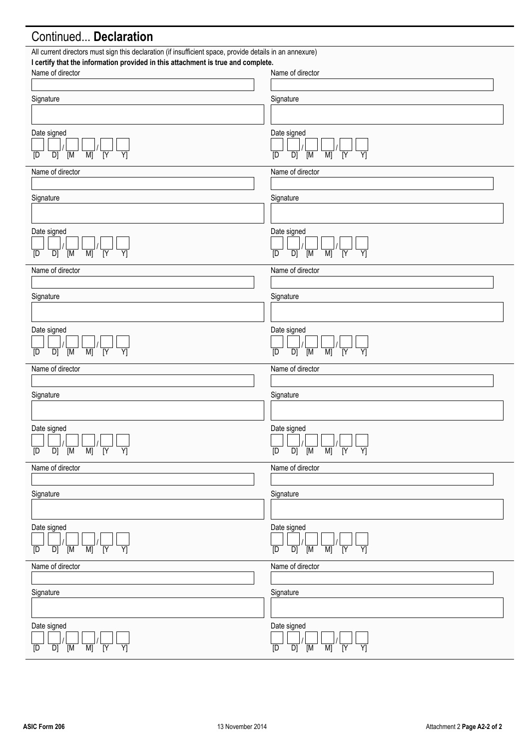## Continued... **Declaration**

| All current directors must sign this declaration (if insufficient space, provide details in an annexure)<br>I certify that the information provided in this attachment is true and complete. |                                                                                                             |
|----------------------------------------------------------------------------------------------------------------------------------------------------------------------------------------------|-------------------------------------------------------------------------------------------------------------|
| Name of director                                                                                                                                                                             | Name of director                                                                                            |
|                                                                                                                                                                                              |                                                                                                             |
| Signature                                                                                                                                                                                    | Signature                                                                                                   |
|                                                                                                                                                                                              |                                                                                                             |
| Date signed<br>$\overline{N}$<br>$\overline{M}$<br>$\overline{Y}$<br>$\overline{D}$ $\overline{M}$                                                                                           | Date signed<br>$\overline{M}$<br>$\overline{N}$<br>$\overline{Y}$<br>$\overline{M}$<br>D<br>[D              |
| [D                                                                                                                                                                                           |                                                                                                             |
| Name of director                                                                                                                                                                             | Name of director                                                                                            |
| Signature                                                                                                                                                                                    | Signature                                                                                                   |
|                                                                                                                                                                                              |                                                                                                             |
| Date signed                                                                                                                                                                                  | Date signed                                                                                                 |
| $\overline{M}$<br>$\overline{N}$<br>$\overline{Y}$<br>$\overline{D}$ $\overline{M}$<br>[D                                                                                                    | $\overline{Y}$<br>$\overline{M}$<br>$\overline{Y}$<br>$\overline{D}$<br>$\overline{M}$<br>$\overline{D}$    |
| Name of director                                                                                                                                                                             | Name of director                                                                                            |
|                                                                                                                                                                                              |                                                                                                             |
| Signature                                                                                                                                                                                    | Signature                                                                                                   |
|                                                                                                                                                                                              |                                                                                                             |
| Date signed                                                                                                                                                                                  | Date signed                                                                                                 |
| $\overline{M}$<br>$M$ ]<br>$\overline{\text{IY}}$<br>$\overline{Y}$<br>D]<br>[D                                                                                                              | $\overline{N}$<br>D]<br>$\overline{M}$<br>M<br>Y]<br>[D                                                     |
| Name of director                                                                                                                                                                             | Name of director                                                                                            |
|                                                                                                                                                                                              |                                                                                                             |
| Signature                                                                                                                                                                                    | Signature                                                                                                   |
|                                                                                                                                                                                              |                                                                                                             |
| Date signed                                                                                                                                                                                  | Date signed                                                                                                 |
| $\frac{\mathsf{L}}{\mathsf{D}}$                                                                                                                                                              | — │ │ │ │ │ │ │ │ │ │ │ │ │ │ │ │<br>D │ D] │ [M │ M] │ [Y │ Y]<br>$\overline{\mathbb{D}}$                  |
| Name of director                                                                                                                                                                             | Name of director                                                                                            |
|                                                                                                                                                                                              |                                                                                                             |
| Signature                                                                                                                                                                                    | Signature                                                                                                   |
|                                                                                                                                                                                              |                                                                                                             |
| Date signed<br>$\overline{M}$<br>$\overline{Y}$<br>$\overline{Y}$<br>$\overline{M}$<br>D]<br>[D                                                                                              | Date signed<br>$\overline{M}$<br>$\overline{M}$<br>$\overline{N}$<br>$\overline{D}$<br>$\overline{Y}$<br>[D |
| Name of director                                                                                                                                                                             | Name of director                                                                                            |
|                                                                                                                                                                                              |                                                                                                             |
| Signature                                                                                                                                                                                    | Signature                                                                                                   |
|                                                                                                                                                                                              |                                                                                                             |
| Date signed<br>$\overline{D}$<br>$\overline{\mathsf{M}}$<br>M<br>$\overline{N}$<br>Y<br>[D]                                                                                                  | Date signed<br>$\overline{D}$<br>$\overline{D}$<br>$\overline{M}$<br>M<br>$\overline{N}$<br>Y               |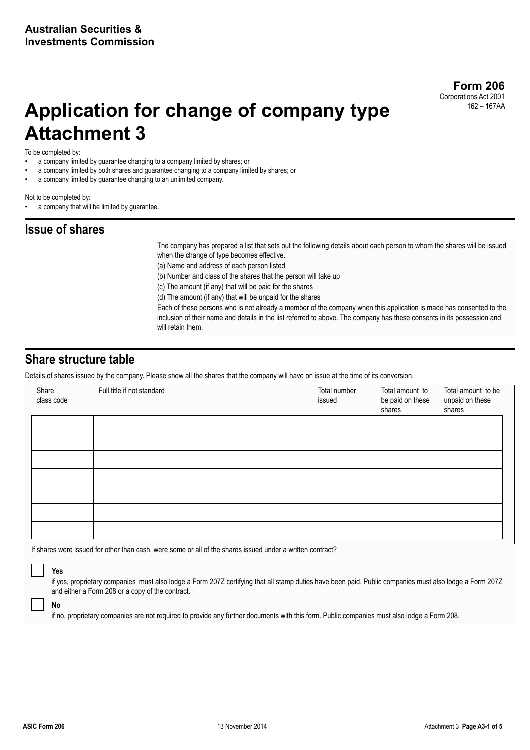# **Application for change of company type Attachment 3**

To be completed by:

- a company limited by guarantee changing to a company limited by shares; or
- a company limited by both shares and guarantee changing to a company limited by shares; or
- a company limited by guarantee changing to an unlimited company.

Not to be completed by:

a company that will be limited by guarantee.

### **Issue of shares**

The company has prepared a list that sets out the following details about each person to whom the shares will be issued when the change of type becomes effective.

(a) Name and address of each person listed

(b) Number and class of the shares that the person will take up

(c) The amount (if any) that will be paid for the shares

(d) The amount (if any) that will be unpaid for the shares

Each of these persons who is not already a member of the company when this application is made has consented to the inclusion of their name and details in the list referred to above. The company has these consents in its possession and will retain them.

### **Share structure table**

Details of shares issued by the company. Please show all the shares that the company will have on issue at the time of its conversion.

| Share<br>class code | Full title if not standard | Total number<br>issued | Total amount to<br>be paid on these<br>shares | Total amount to be<br>unpaid on these<br>shares |
|---------------------|----------------------------|------------------------|-----------------------------------------------|-------------------------------------------------|
|                     |                            |                        |                                               |                                                 |
|                     |                            |                        |                                               |                                                 |
|                     |                            |                        |                                               |                                                 |
|                     |                            |                        |                                               |                                                 |
|                     |                            |                        |                                               |                                                 |
|                     |                            |                        |                                               |                                                 |
|                     |                            |                        |                                               |                                                 |

If shares were issued for other than cash, were some or all of the shares issued under a written contract?

 **Yes** 

if yes, proprietary companies must also lodge a Form 207Z certifying that all stamp duties have been paid. Public companies must also lodge a Form 207Z and either a Form 208 or a copy of the contract.

 **No** 

if no, proprietary companies are not required to provide any further documents with this form. Public companies must also lodge a Form 208.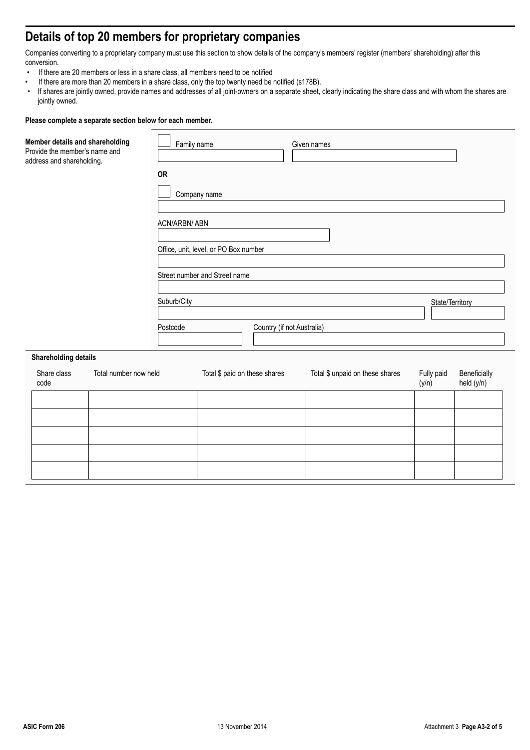## **Details of top 20 members for proprietary companies**

Companies converting to a proprietary company must use this section to show details of the company's members' register (members' shareholding) after this conversion.

- If there are 20 members or less in a share class, all members need to be notified<br>• If there are more than 20 members in a share class, only the top twenty need be
- If there are more than 20 members in a share class, only the top twenty need be notified (s178B).
- If shares are jointly owned, provide names and addresses of all joint-owners on a separate sheet, clearly indicating the share class and with whom the shares are jointly owned.

| Member details and shareholding<br>Provide the member's name and<br>address and shareholding. |                       | Family name<br><b>OR</b><br>ACN/ARBN/ ABN<br>Suburb/City<br>Postcode | Company name<br>Office, unit, level, or PO Box number<br>Street number and Street name | Country (if not Australia) | Given names                     | State/Territory     |                            |
|-----------------------------------------------------------------------------------------------|-----------------------|----------------------------------------------------------------------|----------------------------------------------------------------------------------------|----------------------------|---------------------------------|---------------------|----------------------------|
| <b>Shareholding details</b>                                                                   |                       |                                                                      |                                                                                        |                            |                                 |                     |                            |
| Share class<br>code                                                                           | Total number now held |                                                                      | Total \$ paid on these shares                                                          |                            | Total \$ unpaid on these shares | Fully paid<br>(y/n) | Beneficially<br>held (y/n) |
|                                                                                               |                       |                                                                      |                                                                                        |                            |                                 |                     |                            |
|                                                                                               |                       |                                                                      |                                                                                        |                            |                                 |                     |                            |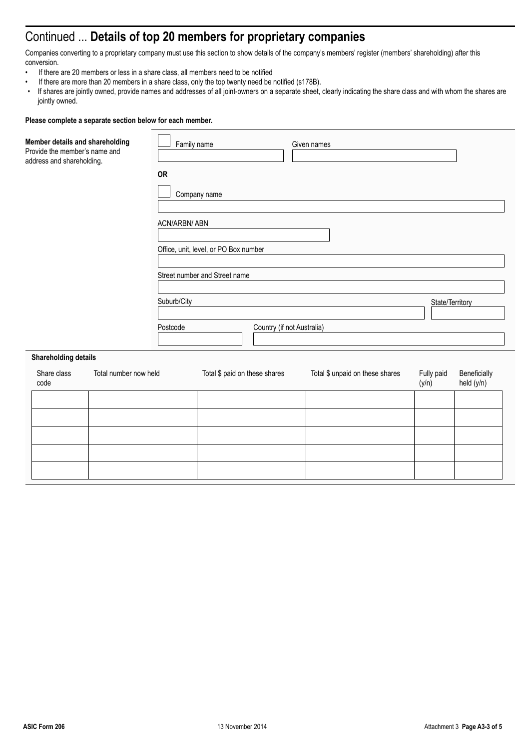## Continued ... **Details of top 20 members for proprietary companies**

Companies converting to a proprietary company must use this section to show details of the company's members' register (members' shareholding) after this conversion.

- If there are 20 members or less in a share class, all members need to be notified
- If there are more than 20 members in a share class, only the top twenty need be notified (s178B).
- If shares are jointly owned, provide names and addresses of all joint-owners on a separate sheet, clearly indicating the share class and with whom the shares are jointly owned.

| Member details and shareholding<br>Provide the member's name and<br>address and shareholding. | <b>OR</b><br>ACN/ARBN/ ABN<br>Suburb/City<br>Postcode | Family name<br>Company name<br>Office, unit, level, or PO Box number<br>Street number and Street name | Given names<br>Country (if not Australia) |                                 | State/Territory     |                            |  |
|-----------------------------------------------------------------------------------------------|-------------------------------------------------------|-------------------------------------------------------------------------------------------------------|-------------------------------------------|---------------------------------|---------------------|----------------------------|--|
| <b>Shareholding details</b>                                                                   |                                                       |                                                                                                       |                                           |                                 |                     |                            |  |
| Total number now held<br>Share class<br>code                                                  |                                                       | Total \$ paid on these shares                                                                         |                                           | Total \$ unpaid on these shares | Fully paid<br>(y/n) | Beneficially<br>held (y/n) |  |
|                                                                                               |                                                       |                                                                                                       |                                           |                                 |                     |                            |  |
|                                                                                               |                                                       |                                                                                                       |                                           |                                 |                     |                            |  |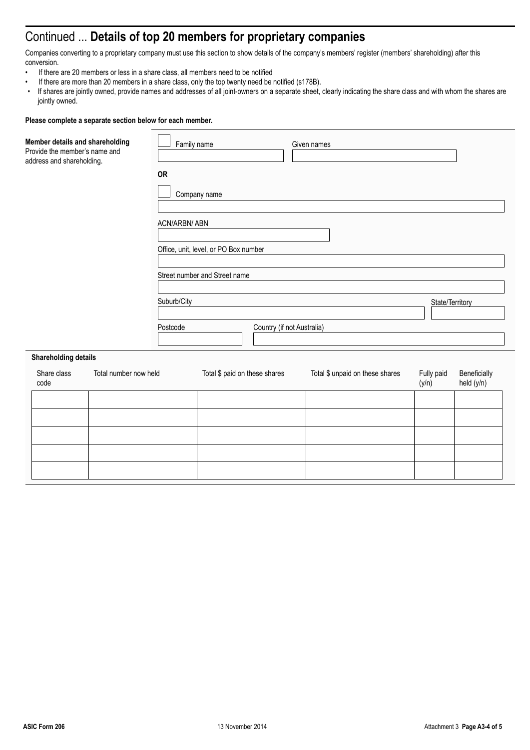## Continued ... **Details of top 20 members for proprietary companies**

Companies converting to a proprietary company must use this section to show details of the company's members' register (members' shareholding) after this conversion.

- If there are 20 members or less in a share class, all members need to be notified
- If there are more than 20 members in a share class, only the top twenty need be notified (s178B).
- If shares are jointly owned, provide names and addresses of all joint-owners on a separate sheet, clearly indicating the share class and with whom the shares are jointly owned.

| Member details and shareholding<br>Provide the member's name and<br>address and shareholding. | <b>OR</b>             | Family name<br>Company name<br>ACN/ARBN/ ABN<br>Office, unit, level, or PO Box number<br>Street number and Street name<br>Suburb/City<br>Postcode |                               | Given names<br>Country (if not Australia) |                                 | State/Territory     |                            |  |
|-----------------------------------------------------------------------------------------------|-----------------------|---------------------------------------------------------------------------------------------------------------------------------------------------|-------------------------------|-------------------------------------------|---------------------------------|---------------------|----------------------------|--|
| <b>Shareholding details</b>                                                                   |                       |                                                                                                                                                   |                               |                                           |                                 |                     |                            |  |
| Share class<br>code                                                                           | Total number now held |                                                                                                                                                   | Total \$ paid on these shares |                                           | Total \$ unpaid on these shares | Fully paid<br>(y/n) | Beneficially<br>held (y/n) |  |
|                                                                                               |                       |                                                                                                                                                   |                               |                                           |                                 |                     |                            |  |
|                                                                                               |                       |                                                                                                                                                   |                               |                                           |                                 |                     |                            |  |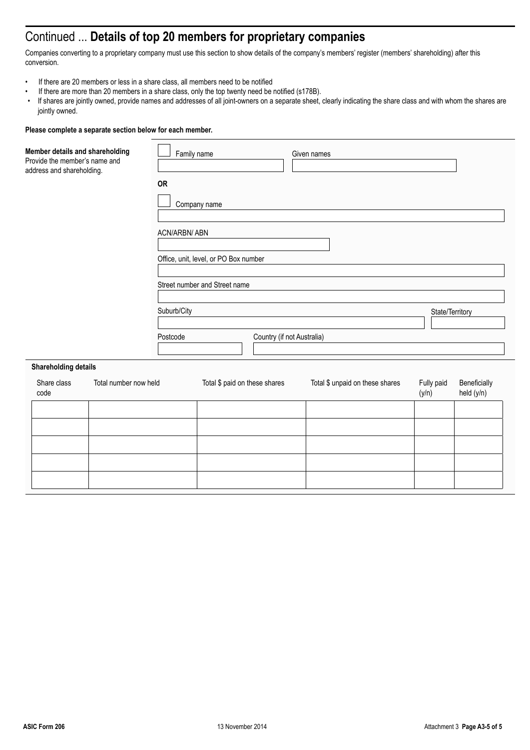## Continued ... **Details of top 20 members for proprietary companies**

Companies converting to a proprietary company must use this section to show details of the company's members' register (members' shareholding) after this conversion.

- If there are 20 members or less in a share class, all members need to be notified
- If there are more than 20 members in a share class, only the top twenty need be notified (s178B).<br>• If shares are jointly owned, provide names and addresses of all joint-owners on a separate sheet
- If shares are jointly owned, provide names and addresses of all joint-owners on a separate sheet, clearly indicating the share class and with whom the shares are jointly owned.

| Member details and shareholding<br>Provide the member's name and<br>address and shareholding. | <b>OR</b>               | Family name<br>Company name           |                            | Given names                     |                     |                            |
|-----------------------------------------------------------------------------------------------|-------------------------|---------------------------------------|----------------------------|---------------------------------|---------------------|----------------------------|
|                                                                                               | ACN/ARBN/ ABN           | Office, unit, level, or PO Box number |                            |                                 |                     |                            |
|                                                                                               |                         | Street number and Street name         |                            |                                 |                     |                            |
|                                                                                               | Suburb/City<br>Postcode |                                       | Country (if not Australia) |                                 | State/Territory     |                            |
| <b>Shareholding details</b>                                                                   |                         |                                       |                            |                                 |                     |                            |
| Total number now held<br>Share class<br>code                                                  |                         | Total \$ paid on these shares         |                            | Total \$ unpaid on these shares | Fully paid<br>(y/n) | Beneficially<br>held (y/n) |
|                                                                                               |                         |                                       |                            |                                 |                     |                            |
|                                                                                               |                         |                                       |                            |                                 |                     |                            |
|                                                                                               |                         |                                       |                            |                                 |                     |                            |
|                                                                                               |                         |                                       |                            |                                 |                     |                            |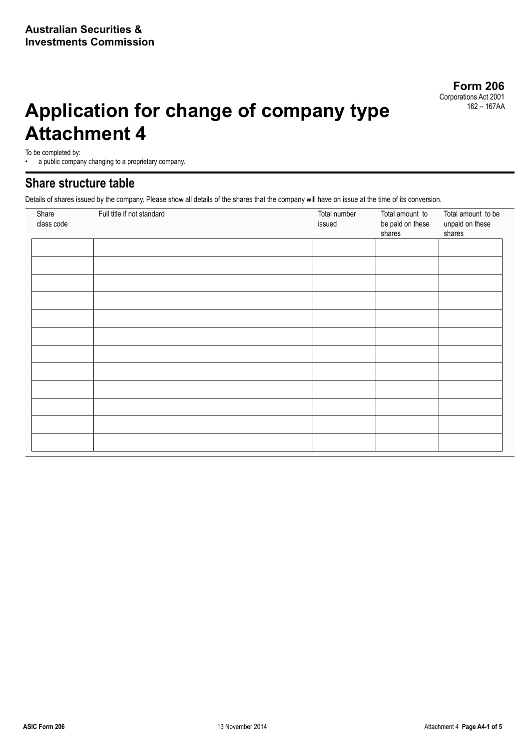# **Application for change of company type Attachment 4**

To be completed by:

a public company changing to a proprietary company.

### **Share structure table**

Details of shares issued by the company. Please show all details of the shares that the company will have on issue at the time of its conversion.

| Share<br>class code | Full title if not standard | Total number<br>issued | Total amount to<br>be paid on these<br>shares | Total amount to be<br>unpaid on these<br>shares |
|---------------------|----------------------------|------------------------|-----------------------------------------------|-------------------------------------------------|
|                     |                            |                        |                                               |                                                 |
|                     |                            |                        |                                               |                                                 |
|                     |                            |                        |                                               |                                                 |
|                     |                            |                        |                                               |                                                 |
|                     |                            |                        |                                               |                                                 |
|                     |                            |                        |                                               |                                                 |
|                     |                            |                        |                                               |                                                 |
|                     |                            |                        |                                               |                                                 |
|                     |                            |                        |                                               |                                                 |
|                     |                            |                        |                                               |                                                 |
|                     |                            |                        |                                               |                                                 |
|                     |                            |                        |                                               |                                                 |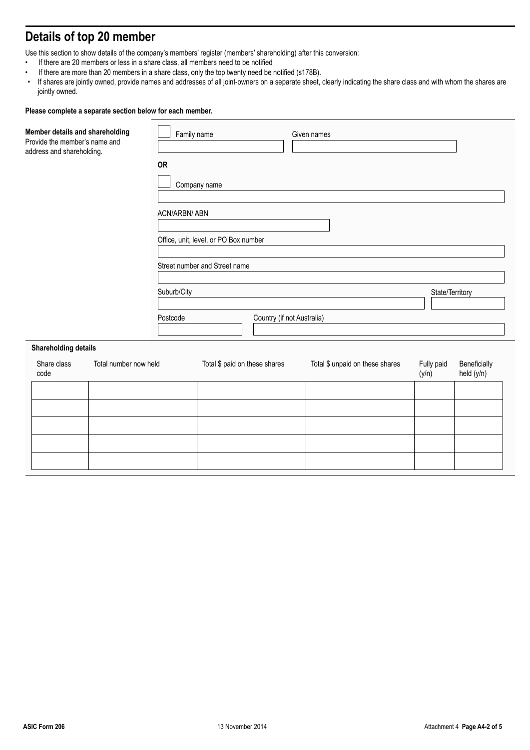# **Details of top 20 member**

Use this section to show details of the company's members' register (members' shareholding) after this conversion:

- If there are 20 members or less in a share class, all members need to be notified
- If there are more than 20 members in a share class, only the top twenty need be notified (s178B).
- If shares are jointly owned, provide names and addresses of all joint-owners on a separate sheet, clearly indicating the share class and with whom the shares are jointly owned.

| Member details and shareholding<br>Provide the member's name and<br>address and shareholding. | Family name<br><b>OR</b><br>ACN/ARBN/ ABN | Company name<br>Office, unit, level, or PO Box number | Given names                     |                     |                            |
|-----------------------------------------------------------------------------------------------|-------------------------------------------|-------------------------------------------------------|---------------------------------|---------------------|----------------------------|
|                                                                                               |                                           | Street number and Street name                         |                                 |                     |                            |
|                                                                                               | Suburb/City                               |                                                       |                                 | State/Territory     |                            |
|                                                                                               | Postcode                                  | Country (if not Australia)                            |                                 |                     |                            |
| <b>Shareholding details</b>                                                                   |                                           |                                                       |                                 |                     |                            |
| Share class<br>Total number now held<br>code                                                  |                                           | Total \$ paid on these shares                         | Total \$ unpaid on these shares | Fully paid<br>(y/n) | Beneficially<br>held (y/n) |
|                                                                                               |                                           |                                                       |                                 |                     |                            |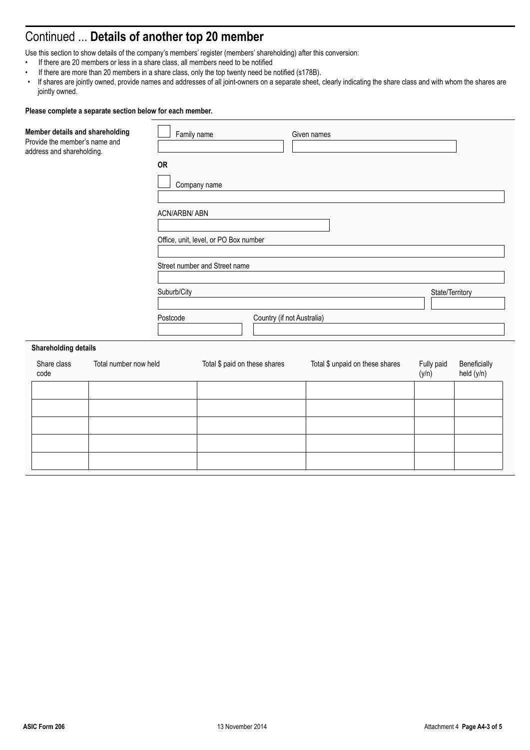# Continued ... **Details of another top 20 member**

Use this section to show details of the company's members' register (members' shareholding) after this conversion:

- If there are 20 members or less in a share class, all members need to be notified
- If there are more than 20 members in a share class, only the top twenty need be notified (s178B).
- If shares are jointly owned, provide names and addresses of all joint-owners on a separate sheet, clearly indicating the share class and with whom the shares are jointly owned.

| Member details and shareholding<br>Provide the member's name and<br>address and shareholding. |                       | Family name<br><b>OR</b><br><b>ACN/ARBN/ ABN</b> | Company name<br>Office, unit, level, or PO Box number | Given names                     |       |                 |                            |
|-----------------------------------------------------------------------------------------------|-----------------------|--------------------------------------------------|-------------------------------------------------------|---------------------------------|-------|-----------------|----------------------------|
|                                                                                               |                       |                                                  | Street number and Street name                         |                                 |       |                 |                            |
|                                                                                               |                       | Suburb/City                                      |                                                       |                                 |       | State/Territory |                            |
|                                                                                               |                       | Postcode                                         |                                                       | Country (if not Australia)      |       |                 |                            |
| <b>Shareholding details</b>                                                                   |                       |                                                  |                                                       |                                 |       |                 |                            |
| Share class<br>code                                                                           | Total number now held |                                                  | Total \$ paid on these shares                         | Total \$ unpaid on these shares | (y/n) | Fully paid      | Beneficially<br>held (y/n) |
|                                                                                               |                       |                                                  |                                                       |                                 |       |                 |                            |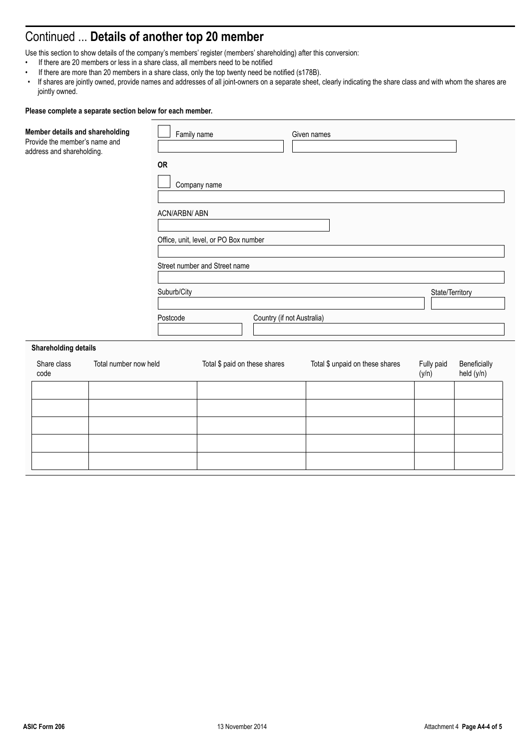# Continued ... **Details of another top 20 member**

Use this section to show details of the company's members' register (members' shareholding) after this conversion:

- If there are 20 members or less in a share class, all members need to be notified
- If there are more than 20 members in a share class, only the top twenty need be notified (s178B).
- If shares are jointly owned, provide names and addresses of all joint-owners on a separate sheet, clearly indicating the share class and with whom the shares are jointly owned.

| Member details and shareholding<br>Provide the member's name and<br>address and shareholding. |                       | Family name<br><b>OR</b><br>ACN/ARBN/ ABN | Company name<br>Office, unit, level, or PO Box number |                            | Given names                     |                     |                            |
|-----------------------------------------------------------------------------------------------|-----------------------|-------------------------------------------|-------------------------------------------------------|----------------------------|---------------------------------|---------------------|----------------------------|
|                                                                                               |                       |                                           | Street number and Street name                         |                            |                                 |                     |                            |
|                                                                                               |                       | Suburb/City                               |                                                       |                            |                                 | State/Territory     |                            |
|                                                                                               |                       | Postcode                                  |                                                       | Country (if not Australia) |                                 |                     |                            |
| <b>Shareholding details</b>                                                                   |                       |                                           |                                                       |                            |                                 |                     |                            |
| Share class<br>code                                                                           | Total number now held |                                           | Total \$ paid on these shares                         |                            | Total \$ unpaid on these shares | Fully paid<br>(y/n) | Beneficially<br>held (y/n) |
|                                                                                               |                       |                                           |                                                       |                            |                                 |                     |                            |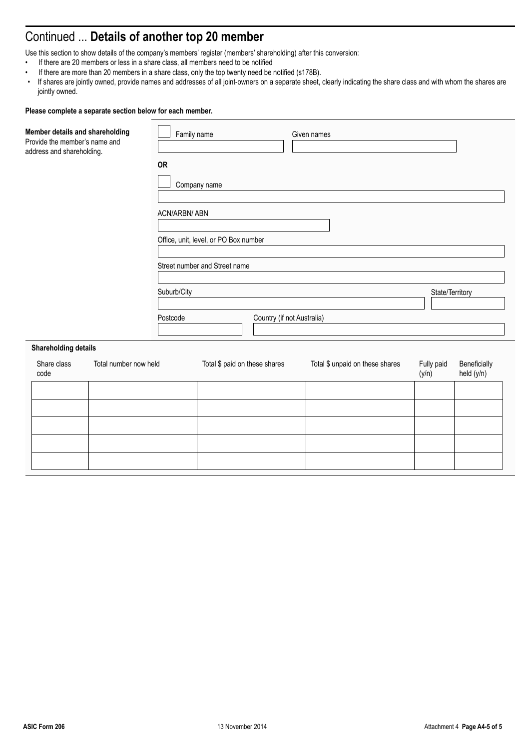# Continued ... **Details of another top 20 member**

Use this section to show details of the company's members' register (members' shareholding) after this conversion:

- If there are 20 members or less in a share class, all members need to be notified
- If there are more than 20 members in a share class, only the top twenty need be notified (s178B).
- If shares are jointly owned, provide names and addresses of all joint-owners on a separate sheet, clearly indicating the share class and with whom the shares are jointly owned.

| Member details and shareholding<br>Provide the member's name and<br>address and shareholding. |                       | Family name<br><b>OR</b><br>ACN/ARBN/ ABN | Company name<br>Office, unit, level, or PO Box number | Given names                     |                     |                            |
|-----------------------------------------------------------------------------------------------|-----------------------|-------------------------------------------|-------------------------------------------------------|---------------------------------|---------------------|----------------------------|
|                                                                                               |                       | Suburb/City                               | Street number and Street name                         |                                 | State/Territory     |                            |
|                                                                                               |                       | Postcode                                  | Country (if not Australia)                            |                                 |                     |                            |
| <b>Shareholding details</b>                                                                   |                       |                                           |                                                       |                                 |                     |                            |
| Share class<br>code                                                                           | Total number now held |                                           | Total \$ paid on these shares                         | Total \$ unpaid on these shares | Fully paid<br>(y/n) | Beneficially<br>held (y/n) |
|                                                                                               |                       |                                           |                                                       |                                 |                     |                            |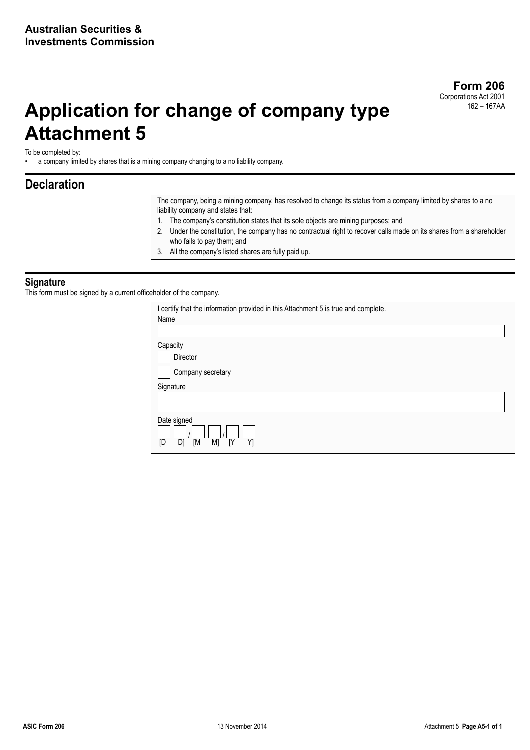# **Application for change of company type Attachment 5**

To be completed by:

• a company limited by shares that is a mining company changing to a no liability company.

### **Declaration**

The company, being a mining company, has resolved to change its status from a company limited by shares to a no liability company and states that:

- 1. The company's constitution states that its sole objects are mining purposes; and
- 2. Under the constitution, the company has no contractual right to recover calls made on its shares from a shareholder who fails to pay them; and
- 3. All the company's listed shares are fully paid up.

#### **Signature**

This form must be signed by a current officeholder of the company.

| I certify that the information provided in this Attachment 5 is true and complete. |
|------------------------------------------------------------------------------------|
| Name                                                                               |
|                                                                                    |
| Capacity                                                                           |
| Director                                                                           |
| Company secretary                                                                  |
| Signature                                                                          |
|                                                                                    |
| Date signed<br>D1<br>[D<br>$\overline{M}$<br>M <sub>1</sub><br>ΓY<br>Y1            |